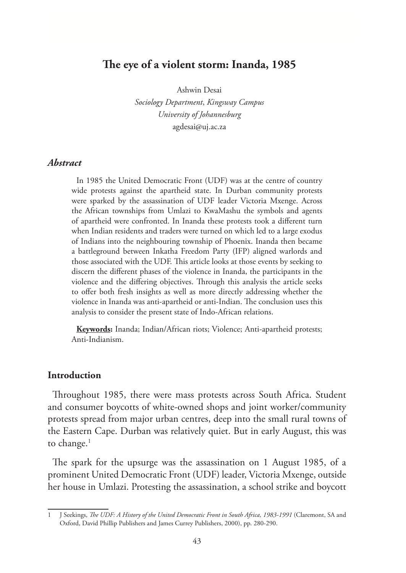## **The eye of a violent storm: Inanda, 1985**

Ashwin Desai

*Sociology Department*, *Kingsway Campus University of Johannesburg* agdesai@uj.ac.za

### *Abstract*

In 1985 the United Democratic Front (UDF) was at the centre of country wide protests against the apartheid state. In Durban community protests were sparked by the assassination of UDF leader Victoria Mxenge. Across the African townships from Umlazi to KwaMashu the symbols and agents of apartheid were confronted. In Inanda these protests took a different turn when Indian residents and traders were turned on which led to a large exodus of Indians into the neighbouring township of Phoenix. Inanda then became a battleground between Inkatha Freedom Party (IFP) aligned warlords and those associated with the UDF. This article looks at those events by seeking to discern the different phases of the violence in Inanda, the participants in the violence and the differing objectives. Through this analysis the article seeks to offer both fresh insights as well as more directly addressing whether the violence in Inanda was anti-apartheid or anti-Indian. The conclusion uses this analysis to consider the present state of Indo-African relations.

**Keywords:** Inanda; Indian/African riots; Violence; Anti-apartheid protests; Anti-Indianism.

### **Introduction**

Throughout 1985, there were mass protests across South Africa. Student and consumer boycotts of white-owned shops and joint worker/community protests spread from major urban centres, deep into the small rural towns of the Eastern Cape. Durban was relatively quiet. But in early August, this was to change. $1$ 

The spark for the upsurge was the assassination on 1 August 1985, of a prominent United Democratic Front (UDF) leader, Victoria Mxenge, outside her house in Umlazi. Protesting the assassination, a school strike and boycott

<sup>1</sup> J Seekings, *The UDF: A History of the United Democratic Front in South Africa, 1983-1991* (Claremont, SA and Oxford, David Phillip Publishers and James Currey Publishers, 2000), pp. 280-290.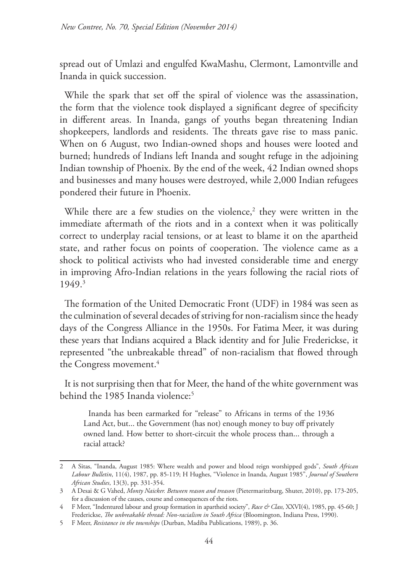spread out of Umlazi and engulfed KwaMashu, Clermont, Lamontville and Inanda in quick succession.

While the spark that set off the spiral of violence was the assassination, the form that the violence took displayed a significant degree of specificity in different areas. In Inanda, gangs of youths began threatening Indian shopkeepers, landlords and residents. The threats gave rise to mass panic. When on 6 August, two Indian-owned shops and houses were looted and burned; hundreds of Indians left Inanda and sought refuge in the adjoining Indian township of Phoenix. By the end of the week, 42 Indian owned shops and businesses and many houses were destroyed, while 2,000 Indian refugees pondered their future in Phoenix.

While there are a few studies on the violence,<sup>2</sup> they were written in the immediate aftermath of the riots and in a context when it was politically correct to underplay racial tensions, or at least to blame it on the apartheid state, and rather focus on points of cooperation. The violence came as a shock to political activists who had invested considerable time and energy in improving Afro-Indian relations in the years following the racial riots of 1949.3

The formation of the United Democratic Front (UDF) in 1984 was seen as the culmination of several decades of striving for non-racialism since the heady days of the Congress Alliance in the 1950s. For Fatima Meer, it was during these years that Indians acquired a Black identity and for Julie Frederickse, it represented "the unbreakable thread" of non-racialism that flowed through the Congress movement.<sup>4</sup>

It is not surprising then that for Meer, the hand of the white government was behind the 1985 Inanda violence:5

Inanda has been earmarked for "release" to Africans in terms of the 1936 Land Act, but... the Government (has not) enough money to buy off privately owned land. How better to short-circuit the whole process than... through a racial attack?

<sup>2</sup> A Sitas, "Inanda, August 1985: Where wealth and power and blood reign worshipped gods", *South African Labour Bulletin*, 11(4), 1987, pp. 85-119; H Hughes, "Violence in Inanda, August 1985", *Journal of Southern African Studies*, 13(3), pp. 331-354.

<sup>3</sup> A Desai & G Vahed, *Monty Naicker. Between reason and treason* (Pietermaritzburg, Shuter, 2010), pp. 173-205, for a discussion of the causes, course and consequences of the riots.

<sup>4</sup> F Meer, "Indentured labour and group formation in apartheid society", *Race & Class,* XXVI(4), 1985, pp. 45-60; J Frederickse, *The unbreakable thread: Non-racialism in South Africa* (Bloomington, Indiana Press, 1990).

<sup>5</sup> F Meer, *Resistance in the townships* (Durban, Madiba Publications, 1989), p. 36.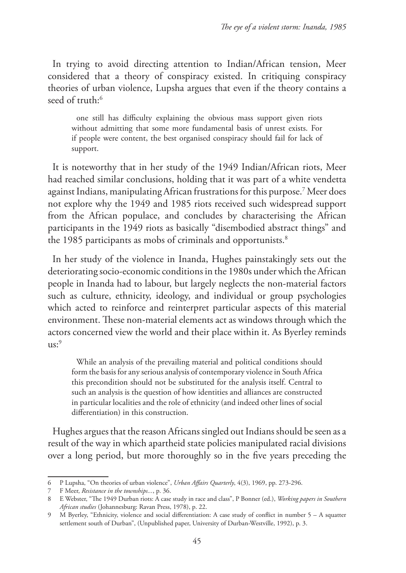In trying to avoid directing attention to Indian/African tension, Meer considered that a theory of conspiracy existed. In critiquing conspiracy theories of urban violence, Lupsha argues that even if the theory contains a seed of truth:<sup>6</sup>

one still has difficulty explaining the obvious mass support given riots without admitting that some more fundamental basis of unrest exists. For if people were content, the best organised conspiracy should fail for lack of support.

It is noteworthy that in her study of the 1949 Indian/African riots, Meer had reached similar conclusions, holding that it was part of a white vendetta against Indians, manipulating African frustrations for this purpose.7 Meer does not explore why the 1949 and 1985 riots received such widespread support from the African populace, and concludes by characterising the African participants in the 1949 riots as basically "disembodied abstract things" and the 1985 participants as mobs of criminals and opportunists.<sup>8</sup>

In her study of the violence in Inanda, Hughes painstakingly sets out the deteriorating socio-economic conditions in the 1980s under which the African people in Inanda had to labour, but largely neglects the non-material factors such as culture, ethnicity, ideology, and individual or group psychologies which acted to reinforce and reinterpret particular aspects of this material environment. These non-material elements act as windows through which the actors concerned view the world and their place within it. As Byerley reminds  $us:9$ 

While an analysis of the prevailing material and political conditions should form the basis for any serious analysis of contemporary violence in South Africa this precondition should not be substituted for the analysis itself. Central to such an analysis is the question of how identities and alliances are constructed in particular localities and the role of ethnicity (and indeed other lines of social differentiation) in this construction.

Hughes argues that the reason Africans singled out Indians should be seen as a result of the way in which apartheid state policies manipulated racial divisions over a long period, but more thoroughly so in the five years preceding the

<sup>6</sup> P Lupsha, "On theories of urban violence", *Urban Affairs Quarterly*, 4(3), 1969, pp. 273-296.

<sup>7</sup> F Meer, *Resistance in the townships...*, p. 36.

<sup>8</sup> E Webster, "The 1949 Durban riots: A case study in race and class", P Bonner (ed.), *Working papers in Southern African studies* (Johannesburg: Ravan Press, 1978), p. 22.

<sup>9</sup> M Byerley, "Ethnicity, violence and social differentiation: A case study of conflict in number 5 – A squatter settlement south of Durban", (Unpublished paper, University of Durban-Westville, 1992), p. 3.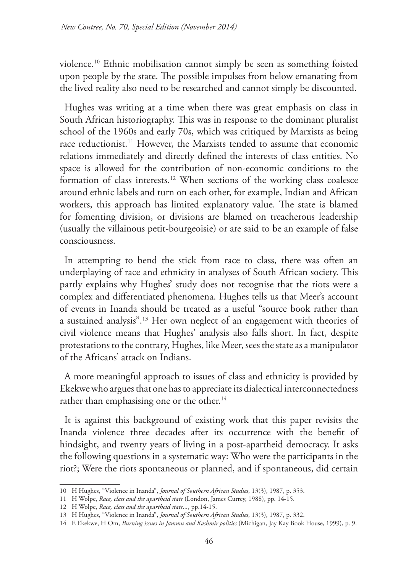violence.10 Ethnic mobilisation cannot simply be seen as something foisted upon people by the state. The possible impulses from below emanating from the lived reality also need to be researched and cannot simply be discounted.

Hughes was writing at a time when there was great emphasis on class in South African historiography. This was in response to the dominant pluralist school of the 1960s and early 70s, which was critiqued by Marxists as being race reductionist.<sup>11</sup> However, the Marxists tended to assume that economic relations immediately and directly defined the interests of class entities. No space is allowed for the contribution of non-economic conditions to the formation of class interests.12 When sections of the working class coalesce around ethnic labels and turn on each other, for example, Indian and African workers, this approach has limited explanatory value. The state is blamed for fomenting division, or divisions are blamed on treacherous leadership (usually the villainous petit-bourgeoisie) or are said to be an example of false consciousness.

In attempting to bend the stick from race to class, there was often an underplaying of race and ethnicity in analyses of South African society. This partly explains why Hughes' study does not recognise that the riots were a complex and differentiated phenomena. Hughes tells us that Meer's account of events in Inanda should be treated as a useful "source book rather than a sustained analysis".13 Her own neglect of an engagement with theories of civil violence means that Hughes' analysis also falls short. In fact, despite protestations to the contrary, Hughes, like Meer, sees the state as a manipulator of the Africans' attack on Indians.

A more meaningful approach to issues of class and ethnicity is provided by Ekekwe who argues that one has to appreciate its dialectical interconnectedness rather than emphasising one or the other.<sup>14</sup>

It is against this background of existing work that this paper revisits the Inanda violence three decades after its occurrence with the benefit of hindsight, and twenty years of living in a post-apartheid democracy. It asks the following questions in a systematic way: Who were the participants in the riot?; Were the riots spontaneous or planned, and if spontaneous, did certain

<sup>10</sup> H Hughes, "Violence in Inanda", *Journal of Southern African Studies*, 13(3), 1987, p. 353.

<sup>11</sup> H Wolpe, *Race, class and the apartheid state* (London, James Currey, 1988), pp. 14-15.

<sup>12</sup> H Wolpe, *Race, class and the apartheid state...*, pp.14-15.

<sup>13</sup> H Hughes, "Violence in Inanda", *Journal of Southern African Studies*, 13(3), 1987, p. 332.

<sup>14</sup> E Ekekwe, H Om, *Burning issues in Jammu and Kashmir politics* (Michigan, Jay Kay Book House, 1999), p. 9.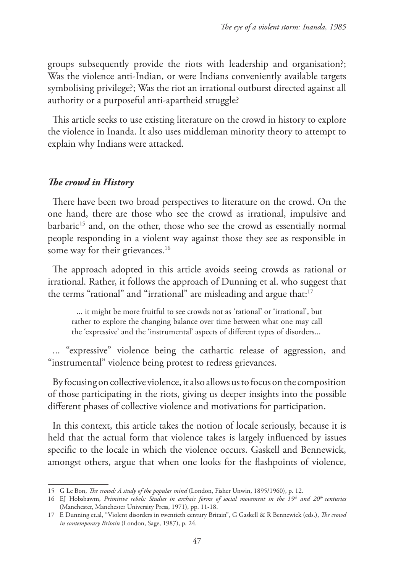groups subsequently provide the riots with leadership and organisation?; Was the violence anti-Indian, or were Indians conveniently available targets symbolising privilege?; Was the riot an irrational outburst directed against all authority or a purposeful anti-apartheid struggle?

This article seeks to use existing literature on the crowd in history to explore the violence in Inanda. It also uses middleman minority theory to attempt to explain why Indians were attacked.

### *The crowd in History*

There have been two broad perspectives to literature on the crowd. On the one hand, there are those who see the crowd as irrational, impulsive and barbaric<sup>15</sup> and, on the other, those who see the crowd as essentially normal people responding in a violent way against those they see as responsible in some way for their grievances.<sup>16</sup>

The approach adopted in this article avoids seeing crowds as rational or irrational. Rather, it follows the approach of Dunning et al. who suggest that the terms "rational" and "irrational" are misleading and argue that:17

... it might be more fruitful to see crowds not as 'rational' or 'irrational', but rather to explore the changing balance over time between what one may call the 'expressive' and the 'instrumental' aspects of different types of disorders...

... "expressive" violence being the cathartic release of aggression, and "instrumental" violence being protest to redress grievances.

By focusing on collective violence, it also allows us to focus on the composition of those participating in the riots, giving us deeper insights into the possible different phases of collective violence and motivations for participation.

In this context, this article takes the notion of locale seriously, because it is held that the actual form that violence takes is largely influenced by issues specific to the locale in which the violence occurs. Gaskell and Bennewick, amongst others, argue that when one looks for the flashpoints of violence,

<sup>15</sup> G Le Bon, *The crowd: A study of the popular mind* (London, Fisher Unwin, 1895/1960), p. 12.

<sup>16</sup> EJ Hobsbawm, *Primitive rebels: Studies in archaic forms of social movement in the 19th and 20th centuries* (Manchester, Manchester University Press, 1971), pp. 11-18.

<sup>17</sup> E Dunning et.al, "Violent disorders in twentieth century Britain", G Gaskell & R Bennewick (eds.), *The crowd in contemporary Britain* (London, Sage, 1987), p. 24.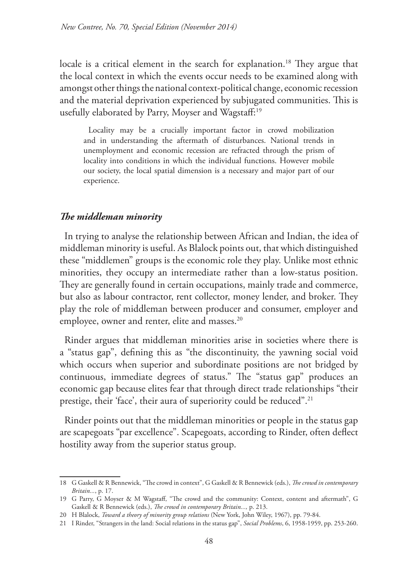locale is a critical element in the search for explanation.<sup>18</sup> They argue that the local context in which the events occur needs to be examined along with amongst other things the national context-political change, economic recession and the material deprivation experienced by subjugated communities. This is usefully elaborated by Parry, Moyser and Wagstaff:<sup>19</sup>

Locality may be a crucially important factor in crowd mobilization and in understanding the aftermath of disturbances. National trends in unemployment and economic recession are refracted through the prism of locality into conditions in which the individual functions. However mobile our society, the local spatial dimension is a necessary and major part of our experience.

#### *The middleman minority*

In trying to analyse the relationship between African and Indian, the idea of middleman minority is useful. As Blalock points out, that which distinguished these "middlemen" groups is the economic role they play. Unlike most ethnic minorities, they occupy an intermediate rather than a low-status position. They are generally found in certain occupations, mainly trade and commerce, but also as labour contractor, rent collector, money lender, and broker. They play the role of middleman between producer and consumer, employer and employee, owner and renter, elite and masses.<sup>20</sup>

Rinder argues that middleman minorities arise in societies where there is a "status gap", defining this as "the discontinuity, the yawning social void which occurs when superior and subordinate positions are not bridged by continuous, immediate degrees of status." The "status gap" produces an economic gap because elites fear that through direct trade relationships "their prestige, their 'face', their aura of superiority could be reduced".<sup>21</sup>

Rinder points out that the middleman minorities or people in the status gap are scapegoats "par excellence". Scapegoats, according to Rinder, often deflect hostility away from the superior status group.

<sup>18</sup> G Gaskell & R Bennewick, "The crowd in context", G Gaskell & R Bennewick (eds.), *The crowd in contemporary Britain...*, p. 17.

<sup>19</sup> G Parry, G Moyser & M Wagstaff, "The crowd and the community: Context, content and aftermath", G Gaskell & R Bennewick (eds.), *The crowd in contemporary Britain...,* p. 213.

<sup>20</sup> H Blalock, *Toward a theory of minority group relations* (New York, John Wiley, 1967), pp. 79-84.

<sup>21</sup> I Rinder, "Strangers in the land: Social relations in the status gap", *Social Problems*, 6, 1958-1959, pp. 253-260.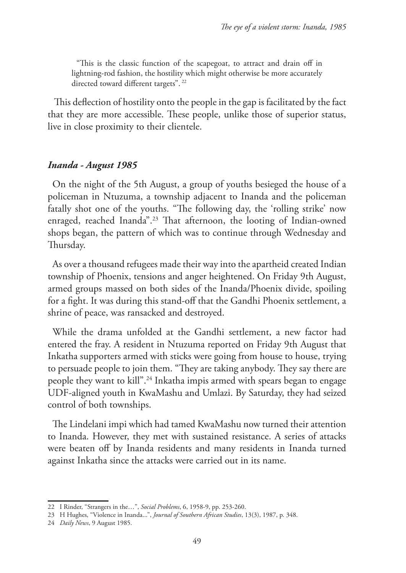"This is the classic function of the scapegoat, to attract and drain off in lightning-rod fashion, the hostility which might otherwise be more accurately directed toward different targets". 22

This deflection of hostility onto the people in the gap is facilitated by the fact that they are more accessible. These people, unlike those of superior status, live in close proximity to their clientele.

#### *Inanda - August 1985*

On the night of the 5th August, a group of youths besieged the house of a policeman in Ntuzuma, a township adjacent to Inanda and the policeman fatally shot one of the youths. "The following day, the 'rolling strike' now enraged, reached Inanda".23 That afternoon, the looting of Indian-owned shops began, the pattern of which was to continue through Wednesday and Thursday.

As over a thousand refugees made their way into the apartheid created Indian township of Phoenix, tensions and anger heightened. On Friday 9th August, armed groups massed on both sides of the Inanda/Phoenix divide, spoiling for a fight. It was during this stand-off that the Gandhi Phoenix settlement, a shrine of peace, was ransacked and destroyed.

While the drama unfolded at the Gandhi settlement, a new factor had entered the fray. A resident in Ntuzuma reported on Friday 9th August that Inkatha supporters armed with sticks were going from house to house, trying to persuade people to join them. "They are taking anybody. They say there are people they want to kill".24 Inkatha impis armed with spears began to engage UDF-aligned youth in KwaMashu and Umlazi. By Saturday, they had seized control of both townships.

The Lindelani impi which had tamed KwaMashu now turned their attention to Inanda. However, they met with sustained resistance. A series of attacks were beaten off by Inanda residents and many residents in Inanda turned against Inkatha since the attacks were carried out in its name.

<sup>22</sup> I Rinder, "Strangers in the…", *Social Problems*, 6, 1958-9, pp. 253-260.

<sup>23</sup> H Hughes, "Violence in Inanda...", *Journal of Southern African Studies*, 13(3), 1987, p. 348.

<sup>24</sup> *Daily News*, 9 August 1985.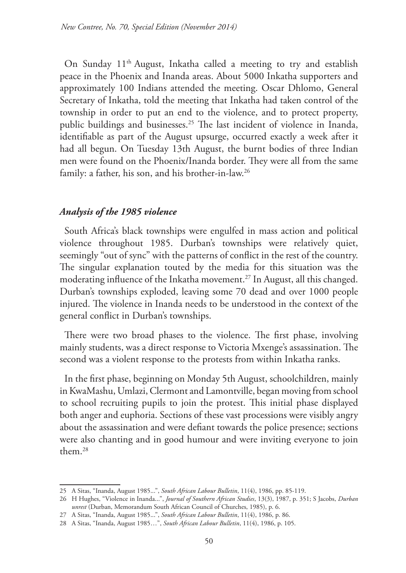On Sunday 11th August, Inkatha called a meeting to try and establish peace in the Phoenix and Inanda areas. About 5000 Inkatha supporters and approximately 100 Indians attended the meeting. Oscar Dhlomo, General Secretary of Inkatha, told the meeting that Inkatha had taken control of the township in order to put an end to the violence, and to protect property, public buildings and businesses.25 The last incident of violence in Inanda, identifiable as part of the August upsurge, occurred exactly a week after it had all begun. On Tuesday 13th August, the burnt bodies of three Indian men were found on the Phoenix/Inanda border. They were all from the same family: a father, his son, and his brother-in-law.26

## *Analysis of the 1985 violence*

South Africa's black townships were engulfed in mass action and political violence throughout 1985. Durban's townships were relatively quiet, seemingly "out of sync" with the patterns of conflict in the rest of the country. The singular explanation touted by the media for this situation was the moderating influence of the Inkatha movement.<sup>27</sup> In August, all this changed. Durban's townships exploded, leaving some 70 dead and over 1000 people injured. The violence in Inanda needs to be understood in the context of the general conflict in Durban's townships.

There were two broad phases to the violence. The first phase, involving mainly students, was a direct response to Victoria Mxenge's assassination. The second was a violent response to the protests from within Inkatha ranks.

In the first phase, beginning on Monday 5th August, schoolchildren, mainly in KwaMashu, Umlazi, Clermont and Lamontville, began moving from school to school recruiting pupils to join the protest. This initial phase displayed both anger and euphoria. Sections of these vast processions were visibly angry about the assassination and were defiant towards the police presence; sections were also chanting and in good humour and were inviting everyone to join them.28

<sup>25</sup> A Sitas, "Inanda, August 1985...", *South African Labour Bulletin*, 11(4), 1986, pp. 85-119.

<sup>26</sup> H Hughes, "Violence in Inanda...", *Journal of Southern African Studies*, 13(3), 1987, p. 351; S Jacobs, *Durban unrest* (Durban, Memorandum South African Council of Churches, 1985), p. 6.

<sup>27</sup> A Sitas, "Inanda, August 1985...", *South African Labour Bulletin*, 11(4), 1986, p. 86.

<sup>28</sup> A Sitas, "Inanda, August 1985…", *South African Labour Bulletin*, 11(4), 1986, p. 105.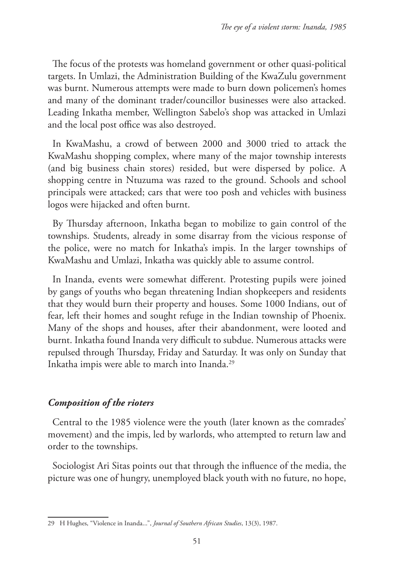The focus of the protests was homeland government or other quasi-political targets. In Umlazi, the Administration Building of the KwaZulu government was burnt. Numerous attempts were made to burn down policemen's homes and many of the dominant trader/councillor businesses were also attacked. Leading Inkatha member, Wellington Sabelo's shop was attacked in Umlazi and the local post office was also destroyed.

In KwaMashu, a crowd of between 2000 and 3000 tried to attack the KwaMashu shopping complex, where many of the major township interests (and big business chain stores) resided, but were dispersed by police. A shopping centre in Ntuzuma was razed to the ground. Schools and school principals were attacked; cars that were too posh and vehicles with business logos were hijacked and often burnt.

By Thursday afternoon, Inkatha began to mobilize to gain control of the townships. Students, already in some disarray from the vicious response of the police, were no match for Inkatha's impis. In the larger townships of KwaMashu and Umlazi, Inkatha was quickly able to assume control.

In Inanda, events were somewhat different. Protesting pupils were joined by gangs of youths who began threatening Indian shopkeepers and residents that they would burn their property and houses. Some 1000 Indians, out of fear, left their homes and sought refuge in the Indian township of Phoenix. Many of the shops and houses, after their abandonment, were looted and burnt. Inkatha found Inanda very difficult to subdue. Numerous attacks were repulsed through Thursday, Friday and Saturday. It was only on Sunday that Inkatha impis were able to march into Inanda.29

# *Composition of the rioters*

Central to the 1985 violence were the youth (later known as the comrades' movement) and the impis, led by warlords, who attempted to return law and order to the townships.

Sociologist Ari Sitas points out that through the influence of the media, the picture was one of hungry, unemployed black youth with no future, no hope,

<sup>29</sup> H Hughes, "Violence in Inanda...", *Journal of Southern African Studies*, 13(3), 1987.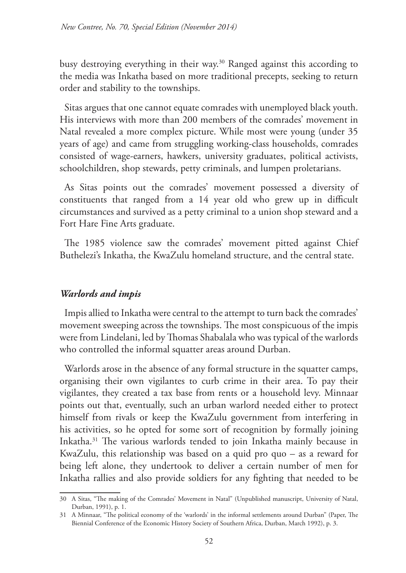busy destroying everything in their way.30 Ranged against this according to the media was Inkatha based on more traditional precepts, seeking to return order and stability to the townships.

Sitas argues that one cannot equate comrades with unemployed black youth. His interviews with more than 200 members of the comrades' movement in Natal revealed a more complex picture. While most were young (under 35 years of age) and came from struggling working-class households, comrades consisted of wage-earners, hawkers, university graduates, political activists, schoolchildren, shop stewards, petty criminals, and lumpen proletarians.

As Sitas points out the comrades' movement possessed a diversity of constituents that ranged from a 14 year old who grew up in difficult circumstances and survived as a petty criminal to a union shop steward and a Fort Hare Fine Arts graduate.

The 1985 violence saw the comrades' movement pitted against Chief Buthelezi's Inkatha, the KwaZulu homeland structure, and the central state.

## *Warlords and impis*

Impis allied to Inkatha were central to the attempt to turn back the comrades' movement sweeping across the townships. The most conspicuous of the impis were from Lindelani, led by Thomas Shabalala who was typical of the warlords who controlled the informal squatter areas around Durban.

Warlords arose in the absence of any formal structure in the squatter camps, organising their own vigilantes to curb crime in their area. To pay their vigilantes, they created a tax base from rents or a household levy. Minnaar points out that, eventually, such an urban warlord needed either to protect himself from rivals or keep the KwaZulu government from interfering in his activities, so he opted for some sort of recognition by formally joining Inkatha.31 The various warlords tended to join Inkatha mainly because in KwaZulu, this relationship was based on a quid pro quo – as a reward for being left alone, they undertook to deliver a certain number of men for Inkatha rallies and also provide soldiers for any fighting that needed to be

<sup>30</sup> A Sitas, "The making of the Comrades' Movement in Natal" (Unpublished manuscript, University of Natal, Durban, 1991), p. 1.

<sup>31</sup> A Minnaar, "The political economy of the 'warlords' in the informal settlements around Durban" (Paper, The Biennial Conference of the Economic History Society of Southern Africa, Durban, March 1992), p. 3.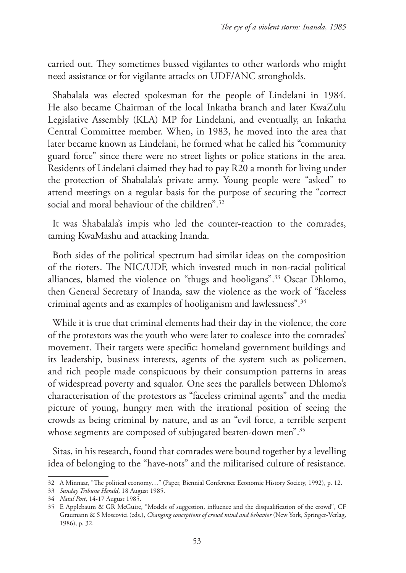carried out. They sometimes bussed vigilantes to other warlords who might need assistance or for vigilante attacks on UDF/ANC strongholds.

Shabalala was elected spokesman for the people of Lindelani in 1984. He also became Chairman of the local Inkatha branch and later KwaZulu Legislative Assembly (KLA) MP for Lindelani, and eventually, an Inkatha Central Committee member. When, in 1983, he moved into the area that later became known as Lindelani, he formed what he called his "community guard force" since there were no street lights or police stations in the area. Residents of Lindelani claimed they had to pay R20 a month for living under the protection of Shabalala's private army. Young people were "asked" to attend meetings on a regular basis for the purpose of securing the "correct social and moral behaviour of the children".<sup>32</sup>

It was Shabalala's impis who led the counter-reaction to the comrades, taming KwaMashu and attacking Inanda.

Both sides of the political spectrum had similar ideas on the composition of the rioters. The NIC/UDF, which invested much in non-racial political alliances, blamed the violence on "thugs and hooligans".33 Oscar Dhlomo, then General Secretary of Inanda, saw the violence as the work of "faceless criminal agents and as examples of hooliganism and lawlessness".34

While it is true that criminal elements had their day in the violence, the core of the protestors was the youth who were later to coalesce into the comrades' movement. Their targets were specific: homeland government buildings and its leadership, business interests, agents of the system such as policemen, and rich people made conspicuous by their consumption patterns in areas of widespread poverty and squalor. One sees the parallels between Dhlomo's characterisation of the protestors as "faceless criminal agents" and the media picture of young, hungry men with the irrational position of seeing the crowds as being criminal by nature, and as an "evil force, a terrible serpent whose segments are composed of subjugated beaten-down men".<sup>35</sup>

Sitas, in his research, found that comrades were bound together by a levelling idea of belonging to the "have-nots" and the militarised culture of resistance.

<sup>32</sup> A Minnaar, "The political economy…" (Paper, Biennial Conference Economic History Society, 1992), p. 12.

<sup>33</sup> *Sunday Tribune Herald*, 18 August 1985.

<sup>34</sup> *Natal Post*, 14-17 August 1985.

<sup>35</sup> E Applebaum & GR McGuire, "Models of suggestion, influence and the disqualification of the crowd", CF Graumann & S Moscovici (eds.), *Changing conceptions of crowd mind and behavior* (New York, Springer-Verlag, 1986), p. 32.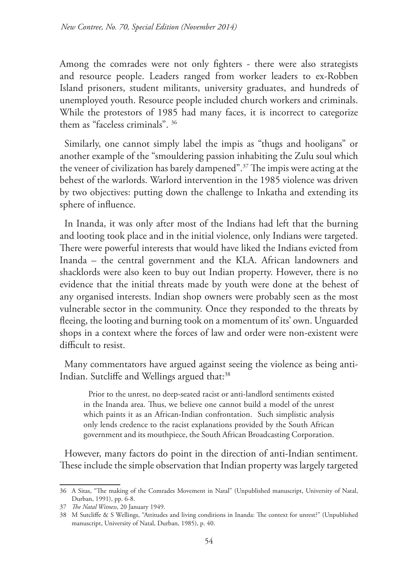Among the comrades were not only fighters - there were also strategists and resource people. Leaders ranged from worker leaders to ex-Robben Island prisoners, student militants, university graduates, and hundreds of unemployed youth. Resource people included church workers and criminals. While the protestors of 1985 had many faces, it is incorrect to categorize them as "faceless criminals". 36

Similarly, one cannot simply label the impis as "thugs and hooligans" or another example of the "smouldering passion inhabiting the Zulu soul which the veneer of civilization has barely dampened".37 The impis were acting at the behest of the warlords. Warlord intervention in the 1985 violence was driven by two objectives: putting down the challenge to Inkatha and extending its sphere of influence.

In Inanda, it was only after most of the Indians had left that the burning and looting took place and in the initial violence, only Indians were targeted. There were powerful interests that would have liked the Indians evicted from Inanda – the central government and the KLA. African landowners and shacklords were also keen to buy out Indian property. However, there is no evidence that the initial threats made by youth were done at the behest of any organised interests. Indian shop owners were probably seen as the most vulnerable sector in the community. Once they responded to the threats by fleeing, the looting and burning took on a momentum of its' own. Unguarded shops in a context where the forces of law and order were non-existent were difficult to resist.

Many commentators have argued against seeing the violence as being anti-Indian. Sutcliffe and Wellings argued that:<sup>38</sup>

Prior to the unrest, no deep-seated racist or anti-landlord sentiments existed in the Inanda area. Thus, we believe one cannot build a model of the unrest which paints it as an African-Indian confrontation. Such simplistic analysis only lends credence to the racist explanations provided by the South African government and its mouthpiece, the South African Broadcasting Corporation.

However, many factors do point in the direction of anti-Indian sentiment. These include the simple observation that Indian property was largely targeted

<sup>36</sup> A Sitas, "The making of the Comrades Movement in Natal" (Unpublished manuscript, University of Natal, Durban, 1991), pp. 6-8.

<sup>37</sup> *The Natal Witness*, 20 January 1949.

<sup>38</sup> M Sutcliffe & S Wellings, "Attitudes and living conditions in Inanda: The context for unrest?" (Unpublished manuscript, University of Natal, Durban, 1985), p. 40.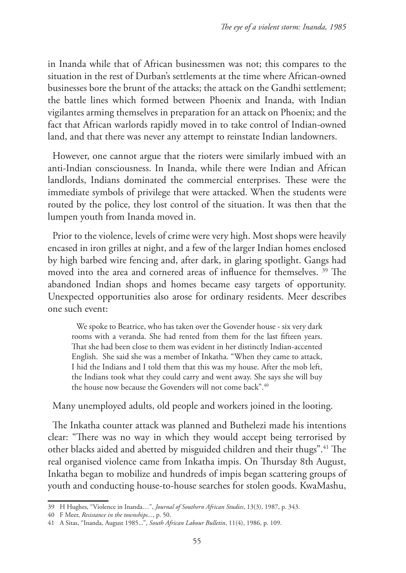in Inanda while that of African businessmen was not; this compares to the situation in the rest of Durban's settlements at the time where African-owned businesses bore the brunt of the attacks; the attack on the Gandhi settlement; the battle lines which formed between Phoenix and Inanda, with Indian vigilantes arming themselves in preparation for an attack on Phoenix; and the fact that African warlords rapidly moved in to take control of Indian-owned land, and that there was never any attempt to reinstate Indian landowners.

However, one cannot argue that the rioters were similarly imbued with an anti-Indian consciousness. In Inanda, while there were Indian and African landlords, Indians dominated the commercial enterprises. These were the immediate symbols of privilege that were attacked. When the students were routed by the police, they lost control of the situation. It was then that the lumpen youth from Inanda moved in.

Prior to the violence, levels of crime were very high. Most shops were heavily encased in iron grilles at night, and a few of the larger Indian homes enclosed by high barbed wire fencing and, after dark, in glaring spotlight. Gangs had moved into the area and cornered areas of influence for themselves. 39 The abandoned Indian shops and homes became easy targets of opportunity. Unexpected opportunities also arose for ordinary residents. Meer describes one such event:

We spoke to Beatrice, who has taken over the Govender house - six very dark rooms with a veranda. She had rented from them for the last fifteen years. That she had been close to them was evident in her distinctly Indian-accented English. She said she was a member of Inkatha. "When they came to attack, I hid the Indians and I told them that this was my house. After the mob left, the Indians took what they could carry and went away. She says she will buy the house now because the Govenders will not come back".<sup>40</sup>

Many unemployed adults, old people and workers joined in the looting.

The Inkatha counter attack was planned and Buthelezi made his intentions clear: "There was no way in which they would accept being terrorised by other blacks aided and abetted by misguided children and their thugs".41 The real organised violence came from Inkatha impis. On Thursday 8th August, Inkatha began to mobilize and hundreds of impis began scattering groups of youth and conducting house-to-house searches for stolen goods. KwaMashu,

<sup>39</sup> H Hughes, "Violence in Inanda…", *Journal of Southern African Studies*, 13(3), 1987, p. 343.

<sup>40</sup> F Meer, *Resistance in the townships...*, p. 50.

<sup>41</sup> A Sitas, "Inanda, August 1985...", *South African Labour Bulletin*, 11(4), 1986, p. 109.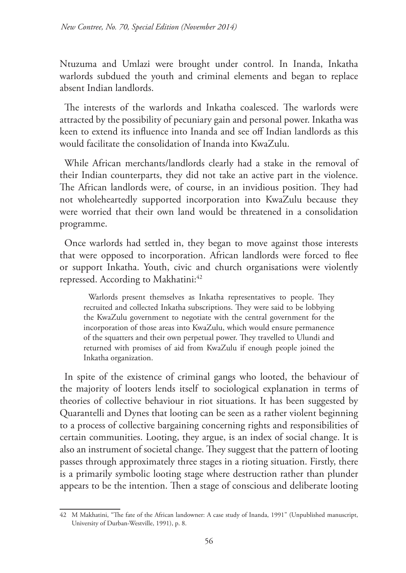Ntuzuma and Umlazi were brought under control. In Inanda, Inkatha warlords subdued the youth and criminal elements and began to replace absent Indian landlords.

The interests of the warlords and Inkatha coalesced. The warlords were attracted by the possibility of pecuniary gain and personal power. Inkatha was keen to extend its influence into Inanda and see off Indian landlords as this would facilitate the consolidation of Inanda into KwaZulu.

While African merchants/landlords clearly had a stake in the removal of their Indian counterparts, they did not take an active part in the violence. The African landlords were, of course, in an invidious position. They had not wholeheartedly supported incorporation into KwaZulu because they were worried that their own land would be threatened in a consolidation programme.

Once warlords had settled in, they began to move against those interests that were opposed to incorporation. African landlords were forced to flee or support Inkatha. Youth, civic and church organisations were violently repressed. According to Makhatini:<sup>42</sup>

Warlords present themselves as Inkatha representatives to people. They recruited and collected Inkatha subscriptions. They were said to be lobbying the KwaZulu government to negotiate with the central government for the incorporation of those areas into KwaZulu, which would ensure permanence of the squatters and their own perpetual power. They travelled to Ulundi and returned with promises of aid from KwaZulu if enough people joined the Inkatha organization.

In spite of the existence of criminal gangs who looted, the behaviour of the majority of looters lends itself to sociological explanation in terms of theories of collective behaviour in riot situations. It has been suggested by Quarantelli and Dynes that looting can be seen as a rather violent beginning to a process of collective bargaining concerning rights and responsibilities of certain communities. Looting, they argue, is an index of social change. It is also an instrument of societal change. They suggest that the pattern of looting passes through approximately three stages in a rioting situation. Firstly, there is a primarily symbolic looting stage where destruction rather than plunder appears to be the intention. Then a stage of conscious and deliberate looting

<sup>42</sup> M Makhatini, "The fate of the African landowner: A case study of Inanda, 1991" (Unpublished manuscript, University of Durban-Westville, 1991), p. 8.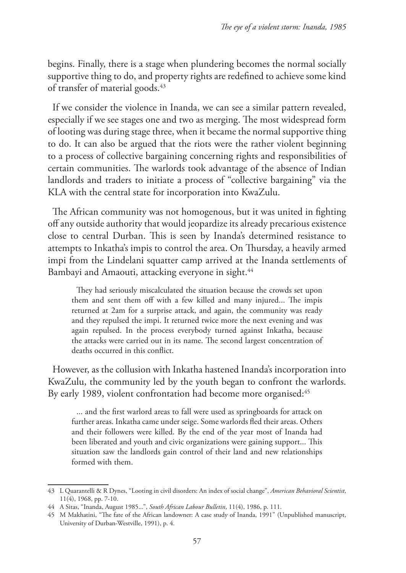begins. Finally, there is a stage when plundering becomes the normal socially supportive thing to do, and property rights are redefined to achieve some kind of transfer of material goods.<sup>43</sup>

If we consider the violence in Inanda, we can see a similar pattern revealed, especially if we see stages one and two as merging. The most widespread form of looting was during stage three, when it became the normal supportive thing to do. It can also be argued that the riots were the rather violent beginning to a process of collective bargaining concerning rights and responsibilities of certain communities. The warlords took advantage of the absence of Indian landlords and traders to initiate a process of "collective bargaining" via the KLA with the central state for incorporation into KwaZulu.

The African community was not homogenous, but it was united in fighting off any outside authority that would jeopardize its already precarious existence close to central Durban. This is seen by Inanda's determined resistance to attempts to Inkatha's impis to control the area. On Thursday, a heavily armed impi from the Lindelani squatter camp arrived at the Inanda settlements of Bambayi and Amaouti, attacking everyone in sight.<sup>44</sup>

They had seriously miscalculated the situation because the crowds set upon them and sent them off with a few killed and many injured... The impis returned at 2am for a surprise attack, and again, the community was ready and they repulsed the impi. It returned twice more the next evening and was again repulsed. In the process everybody turned against Inkatha, because the attacks were carried out in its name. The second largest concentration of deaths occurred in this conflict.

However, as the collusion with Inkatha hastened Inanda's incorporation into KwaZulu, the community led by the youth began to confront the warlords. By early 1989, violent confrontation had become more organised:<sup>45</sup>

... and the first warlord areas to fall were used as springboards for attack on further areas. Inkatha came under seige. Some warlords fled their areas. Others and their followers were killed. By the end of the year most of Inanda had been liberated and youth and civic organizations were gaining support... This situation saw the landlords gain control of their land and new relationships formed with them.

<sup>43</sup> L Quarantelli & R Dynes, "Looting in civil disorders: An index of social change", *American Behavioral Scientist*, 11(4), 1968, pp. 7-10.

<sup>44</sup> A Sitas, "Inanda, August 1985...", *South African Labour Bulletin*, 11(4), 1986, p. 111.

<sup>45</sup> M Makhatini, "The fate of the African landowner: A case study of Inanda, 1991" (Unpublished manuscript, University of Durban-Westville, 1991), p. 4.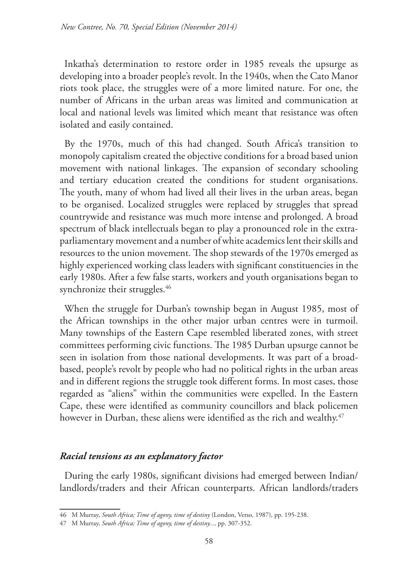Inkatha's determination to restore order in 1985 reveals the upsurge as developing into a broader people's revolt. In the 1940s, when the Cato Manor riots took place, the struggles were of a more limited nature. For one, the number of Africans in the urban areas was limited and communication at local and national levels was limited which meant that resistance was often isolated and easily contained.

By the 1970s, much of this had changed. South Africa's transition to monopoly capitalism created the objective conditions for a broad based union movement with national linkages. The expansion of secondary schooling and tertiary education created the conditions for student organisations. The youth, many of whom had lived all their lives in the urban areas, began to be organised. Localized struggles were replaced by struggles that spread countrywide and resistance was much more intense and prolonged. A broad spectrum of black intellectuals began to play a pronounced role in the extraparliamentary movement and a number of white academics lent their skills and resources to the union movement. The shop stewards of the 1970s emerged as highly experienced working class leaders with significant constituencies in the early 1980s. After a few false starts, workers and youth organisations began to synchronize their struggles.<sup>46</sup>

When the struggle for Durban's township began in August 1985, most of the African townships in the other major urban centres were in turmoil. Many townships of the Eastern Cape resembled liberated zones, with street committees performing civic functions. The 1985 Durban upsurge cannot be seen in isolation from those national developments. It was part of a broadbased, people's revolt by people who had no political rights in the urban areas and in different regions the struggle took different forms. In most cases, those regarded as "aliens" within the communities were expelled. In the Eastern Cape, these were identified as community councillors and black policemen however in Durban, these aliens were identified as the rich and wealthy.<sup>47</sup>

# *Racial tensions as an explanatory factor*

During the early 1980s, significant divisions had emerged between Indian/ landlords/traders and their African counterparts. African landlords/traders

<sup>46</sup> M Murray, *South Africa; Time of agony, time of destiny* (London, Verso, 1987), pp. 195-238.

<sup>47</sup> M Murray, *South Africa; Time of agony, time of destiny...,* pp. 307-352.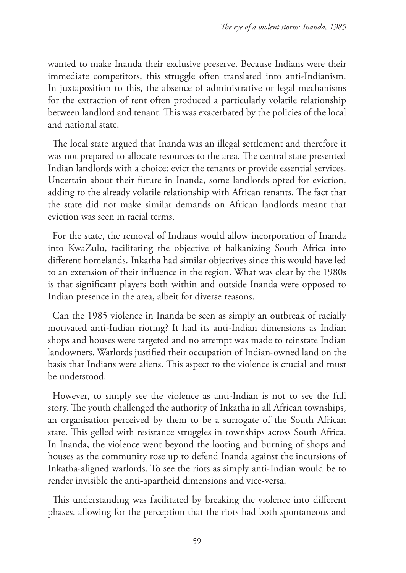wanted to make Inanda their exclusive preserve. Because Indians were their immediate competitors, this struggle often translated into anti-Indianism. In juxtaposition to this, the absence of administrative or legal mechanisms for the extraction of rent often produced a particularly volatile relationship between landlord and tenant. This was exacerbated by the policies of the local and national state.

The local state argued that Inanda was an illegal settlement and therefore it was not prepared to allocate resources to the area. The central state presented Indian landlords with a choice: evict the tenants or provide essential services. Uncertain about their future in Inanda, some landlords opted for eviction, adding to the already volatile relationship with African tenants. The fact that the state did not make similar demands on African landlords meant that eviction was seen in racial terms.

For the state, the removal of Indians would allow incorporation of Inanda into KwaZulu, facilitating the objective of balkanizing South Africa into different homelands. Inkatha had similar objectives since this would have led to an extension of their influence in the region. What was clear by the 1980s is that significant players both within and outside Inanda were opposed to Indian presence in the area, albeit for diverse reasons.

Can the 1985 violence in Inanda be seen as simply an outbreak of racially motivated anti-Indian rioting? It had its anti-Indian dimensions as Indian shops and houses were targeted and no attempt was made to reinstate Indian landowners. Warlords justified their occupation of Indian-owned land on the basis that Indians were aliens. This aspect to the violence is crucial and must be understood.

However, to simply see the violence as anti-Indian is not to see the full story. The youth challenged the authority of Inkatha in all African townships, an organisation perceived by them to be a surrogate of the South African state. This gelled with resistance struggles in townships across South Africa. In Inanda, the violence went beyond the looting and burning of shops and houses as the community rose up to defend Inanda against the incursions of Inkatha-aligned warlords. To see the riots as simply anti-Indian would be to render invisible the anti-apartheid dimensions and vice-versa.

This understanding was facilitated by breaking the violence into different phases, allowing for the perception that the riots had both spontaneous and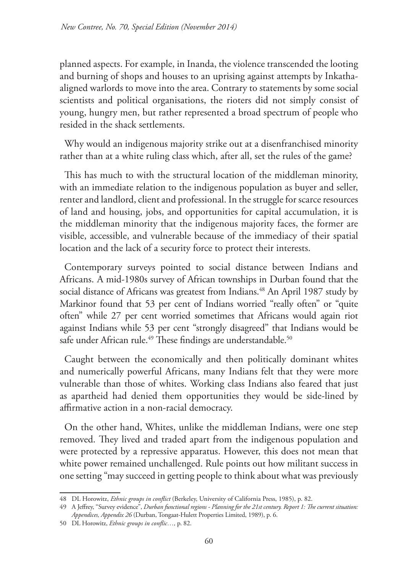planned aspects. For example, in Inanda, the violence transcended the looting and burning of shops and houses to an uprising against attempts by Inkathaaligned warlords to move into the area. Contrary to statements by some social scientists and political organisations, the rioters did not simply consist of young, hungry men, but rather represented a broad spectrum of people who resided in the shack settlements.

Why would an indigenous majority strike out at a disenfranchised minority rather than at a white ruling class which, after all, set the rules of the game?

This has much to with the structural location of the middleman minority, with an immediate relation to the indigenous population as buyer and seller, renter and landlord, client and professional. In the struggle for scarce resources of land and housing, jobs, and opportunities for capital accumulation, it is the middleman minority that the indigenous majority faces, the former are visible, accessible, and vulnerable because of the immediacy of their spatial location and the lack of a security force to protect their interests.

Contemporary surveys pointed to social distance between Indians and Africans. A mid-1980s survey of African townships in Durban found that the social distance of Africans was greatest from Indians.<sup>48</sup> An April 1987 study by Markinor found that 53 per cent of Indians worried "really often" or "quite often" while 27 per cent worried sometimes that Africans would again riot against Indians while 53 per cent "strongly disagreed" that Indians would be safe under African rule.<sup>49</sup> These findings are understandable.<sup>50</sup>

Caught between the economically and then politically dominant whites and numerically powerful Africans, many Indians felt that they were more vulnerable than those of whites. Working class Indians also feared that just as apartheid had denied them opportunities they would be side-lined by affirmative action in a non-racial democracy.

On the other hand, Whites, unlike the middleman Indians, were one step removed. They lived and traded apart from the indigenous population and were protected by a repressive apparatus. However, this does not mean that white power remained unchallenged. Rule points out how militant success in one setting "may succeed in getting people to think about what was previously

<sup>48</sup> DL Horowitz, *Ethnic groups in conflict* (Berkeley, University of California Press, 1985), p. 82.

<sup>49</sup> A Jeffrey, "Survey evidence", *Durban functional regions - Planning for the 21st century. Report 1: The current situation: Appendices, Appendix 26* (Durban, Tongaat-Hulett Properties Limited, 1989), p. 6.

<sup>50</sup> DL Horowitz, *Ethnic groups in conflic…,* p. 82.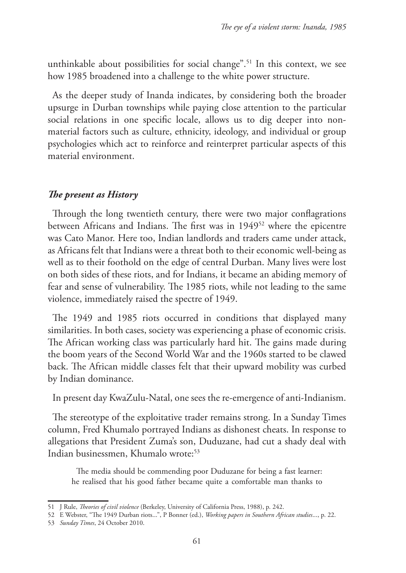unthinkable about possibilities for social change".<sup>51</sup> In this context, we see how 1985 broadened into a challenge to the white power structure.

As the deeper study of Inanda indicates, by considering both the broader upsurge in Durban townships while paying close attention to the particular social relations in one specific locale, allows us to dig deeper into nonmaterial factors such as culture, ethnicity, ideology, and individual or group psychologies which act to reinforce and reinterpret particular aspects of this material environment.

### *The present as History*

Through the long twentieth century, there were two major conflagrations between Africans and Indians. The first was in 194952 where the epicentre was Cato Manor. Here too, Indian landlords and traders came under attack, as Africans felt that Indians were a threat both to their economic well-being as well as to their foothold on the edge of central Durban. Many lives were lost on both sides of these riots, and for Indians, it became an abiding memory of fear and sense of vulnerability. The 1985 riots, while not leading to the same violence, immediately raised the spectre of 1949.

The 1949 and 1985 riots occurred in conditions that displayed many similarities. In both cases, society was experiencing a phase of economic crisis. The African working class was particularly hard hit. The gains made during the boom years of the Second World War and the 1960s started to be clawed back. The African middle classes felt that their upward mobility was curbed by Indian dominance.

In present day KwaZulu-Natal, one sees the re-emergence of anti-Indianism.

The stereotype of the exploitative trader remains strong. In a Sunday Times column, Fred Khumalo portrayed Indians as dishonest cheats. In response to allegations that President Zuma's son, Duduzane, had cut a shady deal with Indian businessmen, Khumalo wrote:<sup>53</sup>

The media should be commending poor Duduzane for being a fast learner: he realised that his good father became quite a comfortable man thanks to

<sup>51</sup> J Rule, *Theories of civil violence* (Berkeley, University of California Press, 1988), p. 242.

<sup>52</sup> E Webster, "The 1949 Durban riots...", P Bonner (ed.), *Working papers in Southern African studies*..., p. 22.

<sup>53</sup> *Sunday Times*, 24 October 2010.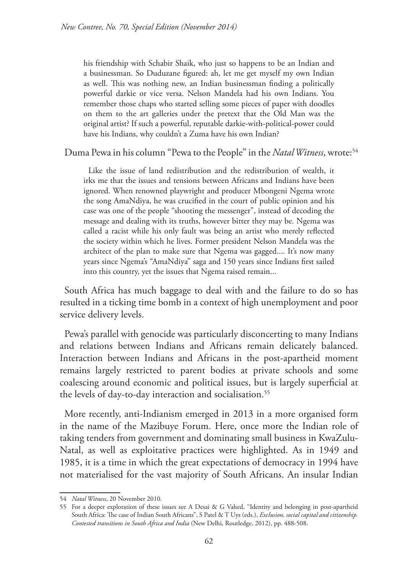his friendship with Schabir Shaik, who just so happens to be an Indian and a businessman. So Duduzane figured: ah, let me get myself my own Indian as well. This was nothing new, an Indian businessman finding a politically powerful darkie or vice versa. Nelson Mandela had his own Indians. You remember those chaps who started selling some pieces of paper with doodles on them to the art galleries under the pretext that the Old Man was the original artist? If such a powerful, reputable darkie-with-political-power could have his Indians, why couldn't a Zuma have his own Indian?

Duma Pewa in his column "Pewa to the People" in the *Natal Witness*, wrote:54

Like the issue of land redistribution and the redistribution of wealth, it irks me that the issues and tensions between Africans and Indians have been ignored. When renowned playwright and producer Mbongeni Ngema wrote the song AmaNdiya, he was crucified in the court of public opinion and his case was one of the people "shooting the messenger", instead of decoding the message and dealing with its truths, however bitter they may be. Ngema was called a racist while his only fault was being an artist who merely reflected the society within which he lives. Former president Nelson Mandela was the architect of the plan to make sure that Ngema was gagged.... It's now many years since Ngema's "AmaNdiya" saga and 150 years since Indians first sailed into this country, yet the issues that Ngema raised remain...

South Africa has much baggage to deal with and the failure to do so has resulted in a ticking time bomb in a context of high unemployment and poor service delivery levels.

Pewa's parallel with genocide was particularly disconcerting to many Indians and relations between Indians and Africans remain delicately balanced. Interaction between Indians and Africans in the post-apartheid moment remains largely restricted to parent bodies at private schools and some coalescing around economic and political issues, but is largely superficial at the levels of day-to-day interaction and socialisation.<sup>55</sup>

More recently, anti-Indianism emerged in 2013 in a more organised form in the name of the Mazibuye Forum. Here, once more the Indian role of taking tenders from government and dominating small business in KwaZulu-Natal, as well as exploitative practices were highlighted. As in 1949 and 1985, it is a time in which the great expectations of democracy in 1994 have not materialised for the vast majority of South Africans. An insular Indian

<sup>54</sup> *Natal Witness*, 20 November 2010.

<sup>55</sup> For a deeper exploration of these issues see A Desai & G Vahed, "Identity and belonging in post-apartheid South Africa: The case of Indian South Africans", S Patel & T Uys (eds.), *Exclusion, social capital and citizenship. Contested transitions in South Africa and India* (New Delhi, Routledge, 2012), pp. 488-508.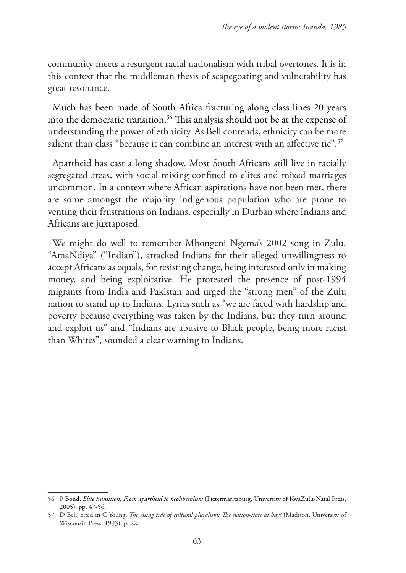community meets a resurgent racial nationalism with tribal overtones. It is in this context that the middleman thesis of scapegoating and vulnerability has great resonance.

Much has been made of South Africa fracturing along class lines 20 years into the democratic transition.<sup>56</sup> This analysis should not be at the expense of understanding the power of ethnicity. As Bell contends, ethnicity can be more salient than class "because it can combine an interest with an affective tie".<sup>57</sup>

Apartheid has cast a long shadow. Most South Africans still live in racially segregated areas, with social mixing confined to elites and mixed marriages uncommon. In a context where African aspirations have not been met, there are some amongst the majority indigenous population who are prone to venting their frustrations on Indians, especially in Durban where Indians and Africans are juxtaposed.

We might do well to remember Mbongeni Ngema's 2002 song in Zulu, "AmaNdiya" ("Indian"), attacked Indians for their alleged unwillingness to accept Africans as equals, for resisting change, being interested only in making money, and being exploitative. He protested the presence of post-1994 migrants from India and Pakistan and urged the "strong men" of the Zulu nation to stand up to Indians. Lyrics such as "we are faced with hardship and poverty because everything was taken by the Indians, but they turn around and exploit us" and "Indians are abusive to Black people, being more racist than Whites", sounded a clear warning to Indians.

<sup>56</sup> P Bond, *Elite transition: From apartheid to neoliberalism* (Pietermaritzburg, University of KwaZulu-Natal Press, 2005), pp. 47-56.

<sup>57</sup> D Bell, cited in C Young, *The rising tide of cultural pluralism: The nation-state at bay?* (Madison, University of Wisconsin Press, 1993), p. 22.